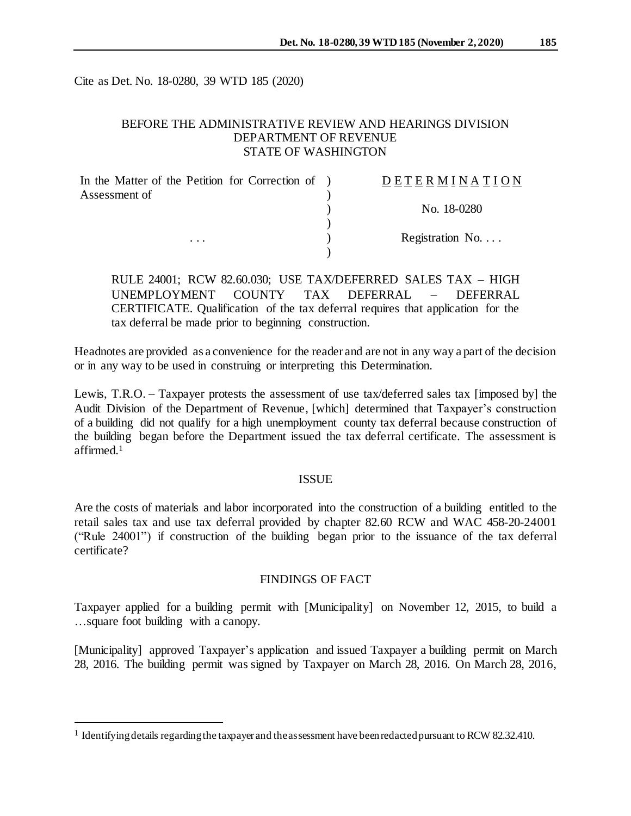Cite as Det. No. 18-0280, 39 WTD 185 (2020)

### BEFORE THE ADMINISTRATIVE REVIEW AND HEARINGS DIVISION DEPARTMENT OF REVENUE STATE OF WASHINGTON

| In the Matter of the Petition for Correction of ) | DETERMINATION            |
|---------------------------------------------------|--------------------------|
| Assessment of                                     |                          |
|                                                   | No. 18-0280              |
|                                                   |                          |
| $\cdots$                                          | Registration No. $\dots$ |
|                                                   |                          |

RULE 24001; RCW 82.60.030; USE TAX/DEFERRED SALES TAX – HIGH UNEMPLOYMENT COUNTY TAX DEFERRAL – DEFERRAL CERTIFICATE. Qualification of the tax deferral requires that application for the tax deferral be made prior to beginning construction.

Headnotes are provided as a convenience for the reader and are not in any way a part of the decision or in any way to be used in construing or interpreting this Determination.

Lewis, T.R.O. – Taxpayer protests the assessment of use tax/deferred sales tax [imposed by] the Audit Division of the Department of Revenue, [which] determined that Taxpayer's construction of a building did not qualify for a high unemployment county tax deferral because construction of the building began before the Department issued the tax deferral certificate. The assessment is affirmed.<sup>1</sup>

#### ISSUE

Are the costs of materials and labor incorporated into the construction of a building entitled to the retail sales tax and use tax deferral provided by chapter 82.60 RCW and WAC 458-20-24001 ("Rule 24001") if construction of the building began prior to the issuance of the tax deferral certificate?

#### FINDINGS OF FACT

Taxpayer applied for a building permit with [Municipality] on November 12, 2015, to build a …square foot building with a canopy.

[Municipality] approved Taxpayer's application and issued Taxpayer a building permit on March 28, 2016. The building permit was signed by Taxpayer on March 28, 2016. On March 28, 2016,

l

<sup>&</sup>lt;sup>1</sup> Identifying details regarding the taxpayer and the assessment have been redacted pursuant to RCW 82.32.410.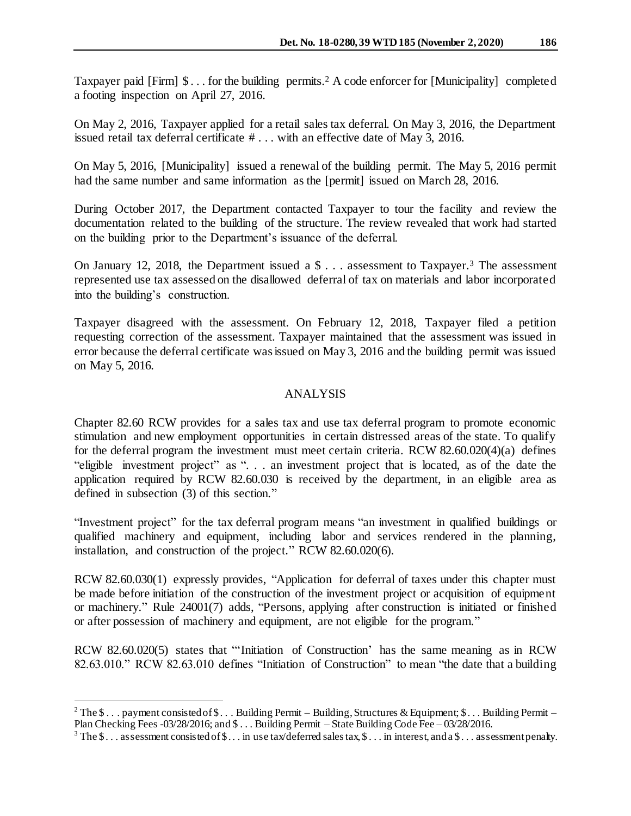Taxpayer paid [Firm]  $\$\dots$  for the building permits.<sup>2</sup> A code enforcer for [Municipality] completed a footing inspection on April 27, 2016.

On May 2, 2016, Taxpayer applied for a retail sales tax deferral. On May 3, 2016, the Department issued retail tax deferral certificate  $\#$ ... with an effective date of May 3, 2016.

On May 5, 2016, [Municipality] issued a renewal of the building permit. The May 5, 2016 permit had the same number and same information as the [permit] issued on March 28, 2016.

During October 2017, the Department contacted Taxpayer to tour the facility and review the documentation related to the building of the structure. The review revealed that work had started on the building prior to the Department's issuance of the deferral.

On January 12, 2018, the Department issued a \$ . . . assessment to Taxpayer.<sup>3</sup> The assessment represented use tax assessed on the disallowed deferral of tax on materials and labor incorporated into the building's construction.

Taxpayer disagreed with the assessment. On February 12, 2018, Taxpayer filed a petition requesting correction of the assessment. Taxpayer maintained that the assessment was issued in error because the deferral certificate was issued on May 3, 2016 and the building permit was issued on May 5, 2016.

## ANALYSIS

Chapter 82.60 RCW provides for a sales tax and use tax deferral program to promote economic stimulation and new employment opportunities in certain distressed areas of the state. To qualify for the deferral program the investment must meet certain criteria. RCW 82.60.020(4)(a) defines "eligible investment project" as ". . . an investment project that is located, as of the date the application required by RCW 82.60.030 is received by the department, in an eligible area as defined in subsection (3) of this section."

"Investment project" for the tax deferral program means "an investment in qualified buildings or qualified machinery and equipment, including labor and services rendered in the planning, installation, and construction of the project." RCW 82.60.020(6).

RCW 82.60.030(1) expressly provides, "Application for deferral of taxes under this chapter must be made before initiation of the construction of the investment project or acquisition of equipment or machinery." Rule 24001(7) adds, "Persons, applying after construction is initiated or finished or after possession of machinery and equipment, are not eligible for the program."

RCW 82.60.020(5) states that "'Initiation of Construction' has the same meaning as in RCW 82.63.010." RCW 82.63.010 defines "Initiation of Construction" to mean "the date that a building

j

<sup>&</sup>lt;sup>2</sup> The  $\$\dots$  payment consisted of  $\$\dots$  Building Permit – Building, Structures & Equipment;  $\$\dots$  Building Permit – Plan Checking Fees -03/28/2016; and \$ . . . Building Permit – State Building Code Fee – 03/28/2016.

<sup>&</sup>lt;sup>3</sup> The  $\$\dots$  assessment consisted of  $\$\dots$  in use tax/deferred sales tax,  $\$\dots$  in interest, and a  $\$\dots$  assessment penalty.